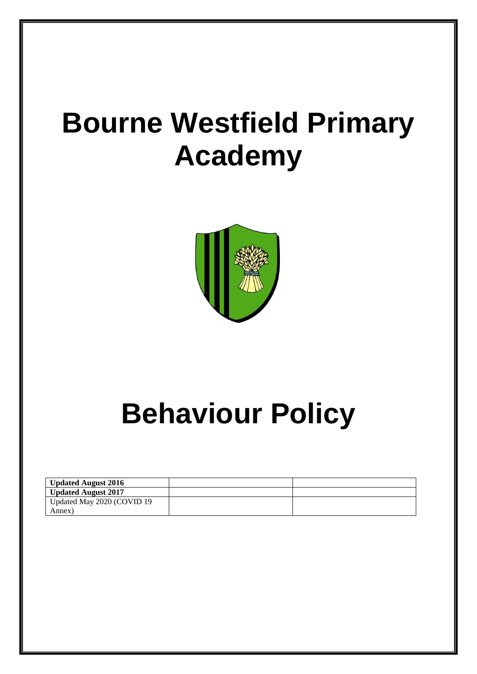# **Bourne Westfield Primary Academy**



# **Behaviour Policy**

| <b>Updated August 2016</b> |  |
|----------------------------|--|
| <b>Updated August 2017</b> |  |
| Updated May 2020 (COVID 19 |  |
| Annex)                     |  |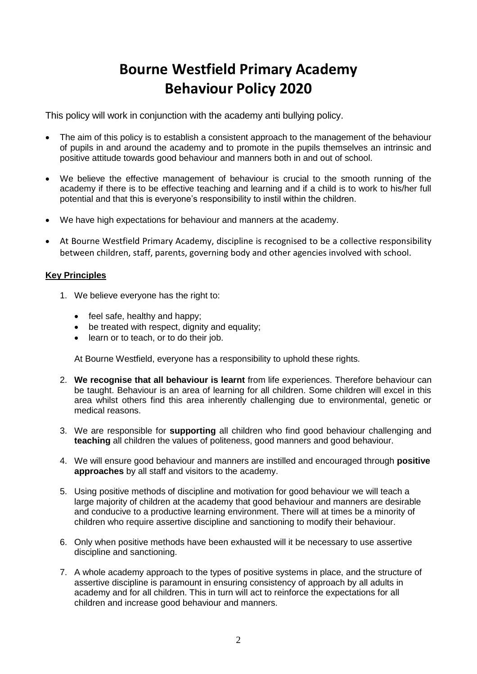### **Bourne Westfield Primary Academy Behaviour Policy 2020**

This policy will work in conjunction with the academy anti bullying policy.

- The aim of this policy is to establish a consistent approach to the management of the behaviour of pupils in and around the academy and to promote in the pupils themselves an intrinsic and positive attitude towards good behaviour and manners both in and out of school.
- We believe the effective management of behaviour is crucial to the smooth running of the academy if there is to be effective teaching and learning and if a child is to work to his/her full potential and that this is everyone's responsibility to instil within the children.
- We have high expectations for behaviour and manners at the academy.
- At Bourne Westfield Primary Academy, discipline is recognised to be a collective responsibility between children, staff, parents, governing body and other agencies involved with school.

#### **Key Principles**

- 1. We believe everyone has the right to:
	- $\bullet$  feel safe, healthy and happy;
	- be treated with respect, dignity and equality;
	- learn or to teach, or to do their job.

At Bourne Westfield, everyone has a responsibility to uphold these rights.

- 2. **We recognise that all behaviour is learnt** from life experiences. Therefore behaviour can be taught. Behaviour is an area of learning for all children. Some children will excel in this area whilst others find this area inherently challenging due to environmental, genetic or medical reasons.
- 3. We are responsible for **supporting** all children who find good behaviour challenging and **teaching** all children the values of politeness, good manners and good behaviour.
- 4. We will ensure good behaviour and manners are instilled and encouraged through **positive approaches** by all staff and visitors to the academy.
- 5. Using positive methods of discipline and motivation for good behaviour we will teach a large majority of children at the academy that good behaviour and manners are desirable and conducive to a productive learning environment. There will at times be a minority of children who require assertive discipline and sanctioning to modify their behaviour.
- 6. Only when positive methods have been exhausted will it be necessary to use assertive discipline and sanctioning.
- 7. A whole academy approach to the types of positive systems in place, and the structure of assertive discipline is paramount in ensuring consistency of approach by all adults in academy and for all children. This in turn will act to reinforce the expectations for all children and increase good behaviour and manners.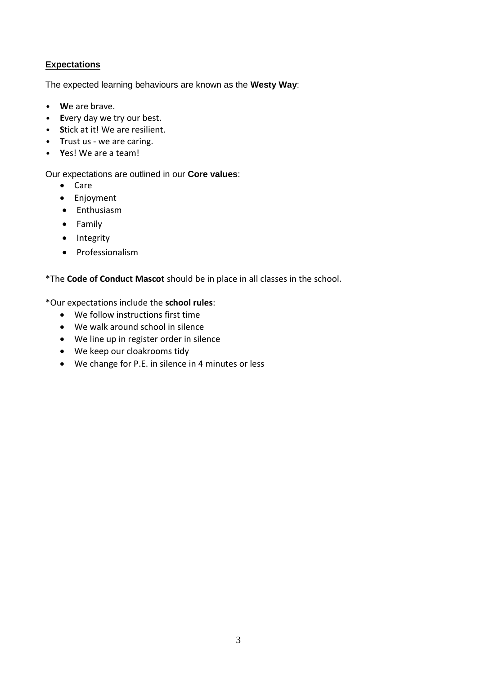#### **Expectations**

The expected learning behaviours are known as the **Westy Way**:

- **W**e are brave.
- **E**very day we try our best.
- **S**tick at it! We are resilient.
- **T**rust us we are caring.
- **Y**es! We are a team!

#### Our expectations are outlined in our **Core values**:

- Care
- Enjoyment
- Enthusiasm
- Family
- Integrity
- Professionalism

#### \*The **Code of Conduct Mascot** should be in place in all classes in the school.

\*Our expectations include the **school rules**:

- We follow instructions first time
- We walk around school in silence
- We line up in register order in silence
- We keep our cloakrooms tidy
- We change for P.E. in silence in 4 minutes or less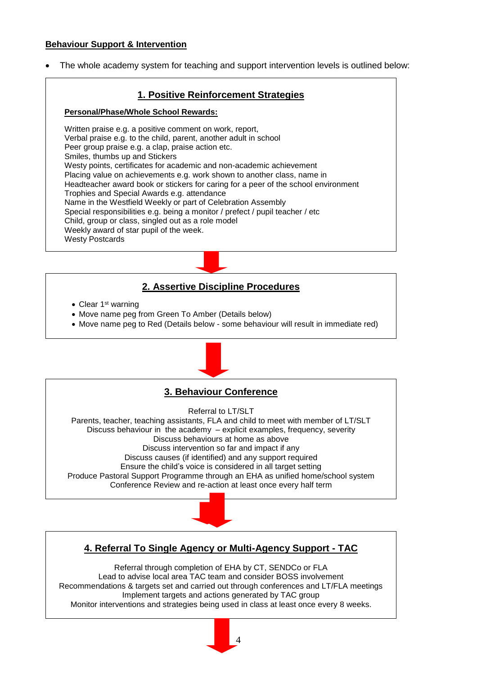#### **Behaviour Support & Intervention**

The whole academy system for teaching and support intervention levels is outlined below:

#### **1. Positive Reinforcement Strategies**

#### **Personal/Phase/Whole School Rewards:**

Written praise e.g. a positive comment on work, report, Verbal praise e.g. to the child, parent, another adult in school Peer group praise e.g. a clap, praise action etc. Smiles, thumbs up and Stickers Westy points, certificates for academic and non-academic achievement Placing value on achievements e.g. work shown to another class, name in Headteacher award book or stickers for caring for a peer of the school environment Trophies and Special Awards e.g. attendance Name in the Westfield Weekly or part of Celebration Assembly Special responsibilities e.g. being a monitor / prefect / pupil teacher / etc Child, group or class, singled out as a role model Weekly award of star pupil of the week. Westy Postcards

#### **2. Assertive Discipline Procedures**

- $\bullet$  Clear 1<sup>st</sup> warning
- Move name peg from Green To Amber (Details below)
- Move name peg to Red (Details below some behaviour will result in immediate red)



#### **3. Behaviour Conference**

Referral to LT/SLT

Parents, teacher, teaching assistants, FLA and child to meet with member of LT/SLT Discuss behaviour in the academy – explicit examples, frequency, severity Discuss behaviours at home as above Discuss intervention so far and impact if any Discuss causes (if identified) and any support required Ensure the child's voice is considered in all target setting Produce Pastoral Support Programme through an EHA as unified home/school system Conference Review and re-action at least once every half term

#### **4. Referral To Single Agency or Multi-Agency Support - TAC**

Referral through completion of EHA by CT, SENDCo or FLA Lead to advise local area TAC team and consider BOSS involvement Recommendations & targets set and carried out through conferences and LT/FLA meetings Implement targets and actions generated by TAC group Monitor interventions and strategies being used in class at least once every 8 weeks.

4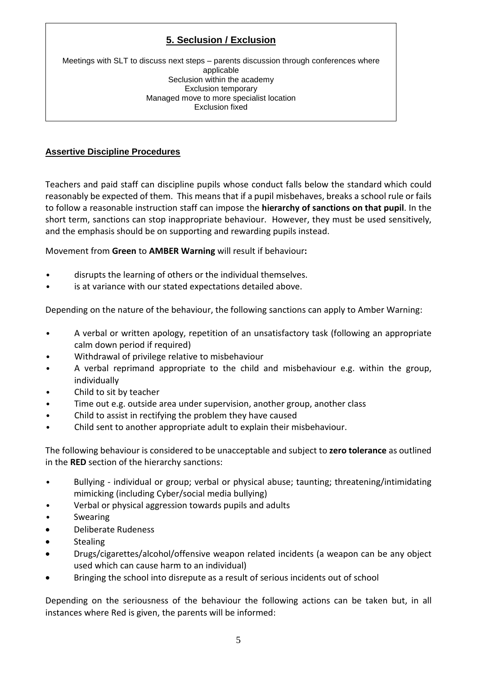#### **5. Seclusion / Exclusion**

Meetings with SLT to discuss next steps – parents discussion through conferences where applicable Seclusion within the academy Exclusion temporary Managed move to more specialist location Exclusion fixed

#### **Assertive Discipline Procedures**

Teachers and paid staff can discipline pupils whose conduct falls below the standard which could reasonably be expected of them. This means that if a pupil misbehaves, breaks a school rule or fails to follow a reasonable instruction staff can impose the **hierarchy of sanctions on that pupil**. In the short term, sanctions can stop inappropriate behaviour. However, they must be used sensitively, and the emphasis should be on supporting and rewarding pupils instead.

Movement from **Green** to **AMBER Warning** will result if behaviour**:**

- disrupts the learning of others or the individual themselves.
- is at variance with our stated expectations detailed above.

Depending on the nature of the behaviour, the following sanctions can apply to Amber Warning:

- A verbal or written apology, repetition of an unsatisfactory task (following an appropriate calm down period if required)
- Withdrawal of privilege relative to misbehaviour
- A verbal reprimand appropriate to the child and misbehaviour e.g. within the group, individually
- Child to sit by teacher
- Time out e.g. outside area under supervision, another group, another class
- Child to assist in rectifying the problem they have caused
- Child sent to another appropriate adult to explain their misbehaviour.

The following behaviour is considered to be unacceptable and subject to **zero tolerance** as outlined in the **RED** section of the hierarchy sanctions:

- Bullying individual or group; verbal or physical abuse; taunting; threatening/intimidating mimicking (including Cyber/social media bullying)
- Verbal or physical aggression towards pupils and adults
- **Swearing**
- Deliberate Rudeness
- Stealing
- Drugs/cigarettes/alcohol/offensive weapon related incidents (a weapon can be any object used which can cause harm to an individual)
- Bringing the school into disrepute as a result of serious incidents out of school

Depending on the seriousness of the behaviour the following actions can be taken but, in all instances where Red is given, the parents will be informed: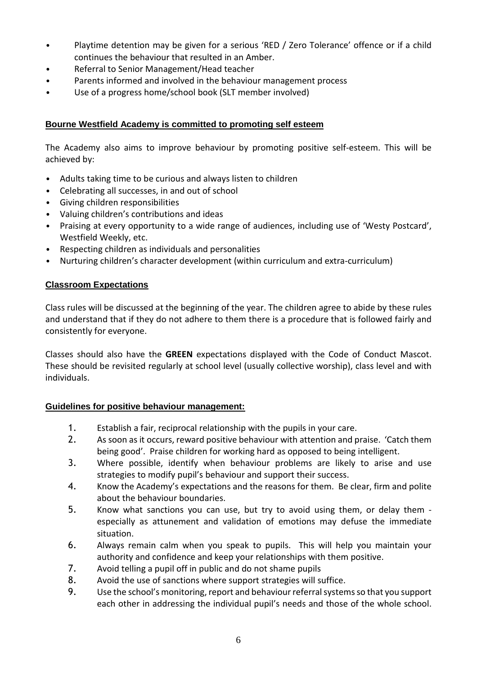- Playtime detention may be given for a serious 'RED / Zero Tolerance' offence or if a child continues the behaviour that resulted in an Amber.
- Referral to Senior Management/Head teacher
- Parents informed and involved in the behaviour management process
- Use of a progress home/school book (SLT member involved)

#### **Bourne Westfield Academy is committed to promoting self esteem**

The Academy also aims to improve behaviour by promoting positive self-esteem. This will be achieved by:

- Adults taking time to be curious and always listen to children
- Celebrating all successes, in and out of school
- Giving children responsibilities
- Valuing children's contributions and ideas
- Praising at every opportunity to a wide range of audiences, including use of 'Westy Postcard', Westfield Weekly, etc.
- Respecting children as individuals and personalities
- Nurturing children's character development (within curriculum and extra-curriculum)

#### **Classroom Expectations**

Class rules will be discussed at the beginning of the year. The children agree to abide by these rules and understand that if they do not adhere to them there is a procedure that is followed fairly and consistently for everyone.

Classes should also have the **GREEN** expectations displayed with the Code of Conduct Mascot. These should be revisited regularly at school level (usually collective worship), class level and with individuals.

#### **Guidelines for positive behaviour management:**

- 1. Establish a fair, reciprocal relationship with the pupils in your care.
- 2. As soon as it occurs, reward positive behaviour with attention and praise. 'Catch them being good'. Praise children for working hard as opposed to being intelligent.
- 3. Where possible, identify when behaviour problems are likely to arise and use strategies to modify pupil's behaviour and support their success.
- 4. Know the Academy's expectations and the reasons for them. Be clear, firm and polite about the behaviour boundaries.
- 5. Know what sanctions you can use, but try to avoid using them, or delay them especially as attunement and validation of emotions may defuse the immediate situation.
- 6. Always remain calm when you speak to pupils. This will help you maintain your authority and confidence and keep your relationships with them positive.
- 7. Avoid telling a pupil off in public and do not shame pupils
- 8. Avoid the use of sanctions where support strategies will suffice.
- 9. Use the school's monitoring, report and behaviour referral systems so that you support each other in addressing the individual pupil's needs and those of the whole school.